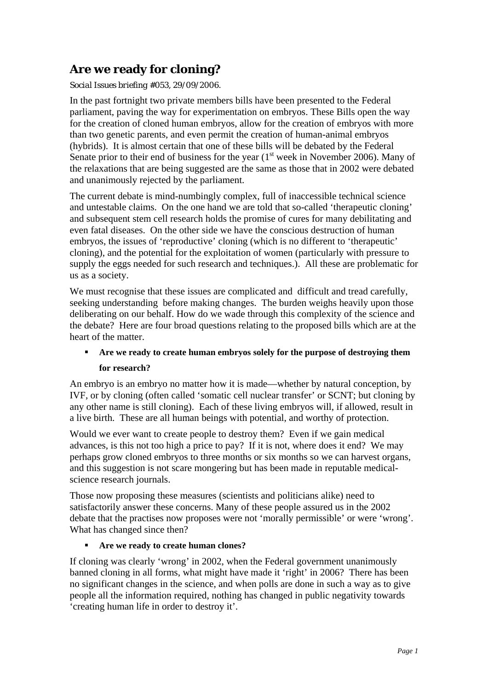# **Are we ready for cloning?**

*Social Issues briefing #053, 29/09/2006.*

In the past fortnight two private members bills have been presented to the Federal parliament, paving the way for experimentation on embryos. These Bills open the way for the creation of cloned human embryos, allow for the creation of embryos with more than two genetic parents, and even permit the creation of human-animal embryos (hybrids). It is almost certain that one of these bills will be debated by the Federal Senate prior to their end of business for the year  $(1<sup>st</sup>$  week in November 2006). Many of the relaxations that are being suggested are the same as those that in 2002 were debated and unanimously rejected by the parliament.

The current debate is mind-numbingly complex, full of inaccessible technical science and untestable claims. On the one hand we are told that so-called 'therapeutic cloning' and subsequent stem cell research holds the promise of cures for many debilitating and even fatal diseases. On the other side we have the conscious destruction of human embryos, the issues of 'reproductive' cloning (which is no different to 'therapeutic' cloning), and the potential for the exploitation of women (particularly with pressure to supply the eggs needed for such research and techniques.). All these are problematic for us as a society.

We must recognise that these issues are complicated and difficult and tread carefully, seeking understanding before making changes. The burden weighs heavily upon those deliberating on our behalf. How do we wade through this complexity of the science and the debate? Here are four broad questions relating to the proposed bills which are at the heart of the matter.

## **Are we ready to create human embryos solely for the purpose of destroying them for research?**

An embryo is an embryo no matter how it is made—whether by natural conception, by IVF, or by cloning (often called 'somatic cell nuclear transfer' or SCNT; but cloning by any other name is still cloning). Each of these living embryos will, if allowed, result in a live birth. These are all human beings with potential, and worthy of protection.

Would we ever want to create people to destroy them? Even if we gain medical advances, is this not too high a price to pay? If it is not, where does it end? We may perhaps grow cloned embryos to three months or six months so we can harvest organs, and this suggestion is not scare mongering but has been made in reputable medicalscience research journals.

Those now proposing these measures (scientists and politicians alike) need to satisfactorily answer these concerns. Many of these people assured us in the 2002 debate that the practises now proposes were not 'morally permissible' or were 'wrong'. What has changed since then?

## **Are we ready to create human clones?**

If cloning was clearly 'wrong' in 2002, when the Federal government unanimously banned cloning in all forms, what might have made it 'right' in 2006? There has been no significant changes in the science, and when polls are done in such a way as to give people all the information required, nothing has changed in public negativity towards 'creating human life in order to destroy it'.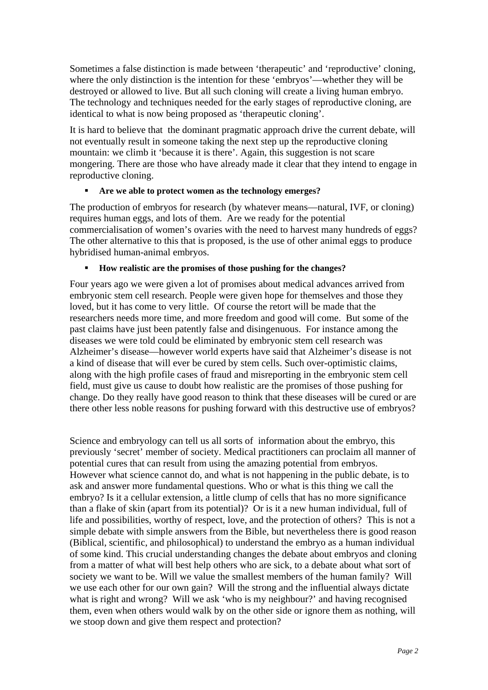Sometimes a false distinction is made between 'therapeutic' and 'reproductive' cloning, where the only distinction is the intention for these 'embryos'—whether they will be destroyed or allowed to live. But all such cloning will create a living human embryo. The technology and techniques needed for the early stages of reproductive cloning, are identical to what is now being proposed as 'therapeutic cloning'.

It is hard to believe that the dominant pragmatic approach drive the current debate, will not eventually result in someone taking the next step up the reproductive cloning mountain: we climb it 'because it is there'. Again, this suggestion is not scare mongering. There are those who have already made it clear that they intend to engage in reproductive cloning.

### **Are we able to protect women as the technology emerges?**

The production of embryos for research (by whatever means—natural, IVF, or cloning) requires human eggs, and lots of them. Are we ready for the potential commercialisation of women's ovaries with the need to harvest many hundreds of eggs? The other alternative to this that is proposed, is the use of other animal eggs to produce hybridised human-animal embryos.

### **How realistic are the promises of those pushing for the changes?**

Four years ago we were given a lot of promises about medical advances arrived from embryonic stem cell research. People were given hope for themselves and those they loved, but it has come to very little. Of course the retort will be made that the researchers needs more time, and more freedom and good will come. But some of the past claims have just been patently false and disingenuous. For instance among the diseases we were told could be eliminated by embryonic stem cell research was Alzheimer's disease—however world experts have said that Alzheimer's disease is not a kind of disease that will ever be cured by stem cells. Such over-optimistic claims, along with the high profile cases of fraud and misreporting in the embryonic stem cell field, must give us cause to doubt how realistic are the promises of those pushing for change. Do they really have good reason to think that these diseases will be cured or are there other less noble reasons for pushing forward with this destructive use of embryos?

Science and embryology can tell us all sorts of information about the embryo, this previously 'secret' member of society. Medical practitioners can proclaim all manner of potential cures that can result from using the amazing potential from embryos. However what science cannot do, and what is not happening in the public debate, is to ask and answer more fundamental questions. Who or what is this thing we call the embryo? Is it a cellular extension, a little clump of cells that has no more significance than a flake of skin (apart from its potential)? Or is it a new human individual, full of life and possibilities, worthy of respect, love, and the protection of others? This is not a simple debate with simple answers from the Bible, but nevertheless there is good reason (Biblical, scientific, and philosophical) to understand the embryo as a human individual of some kind. This crucial understanding changes the debate about embryos and cloning from a matter of what will best help others who are sick, to a debate about what sort of society we want to be. Will we value the smallest members of the human family? Will we use each other for our own gain? Will the strong and the influential always dictate what is right and wrong? Will we ask 'who is my neighbour?' and having recognised them, even when others would walk by on the other side or ignore them as nothing, will we stoop down and give them respect and protection?